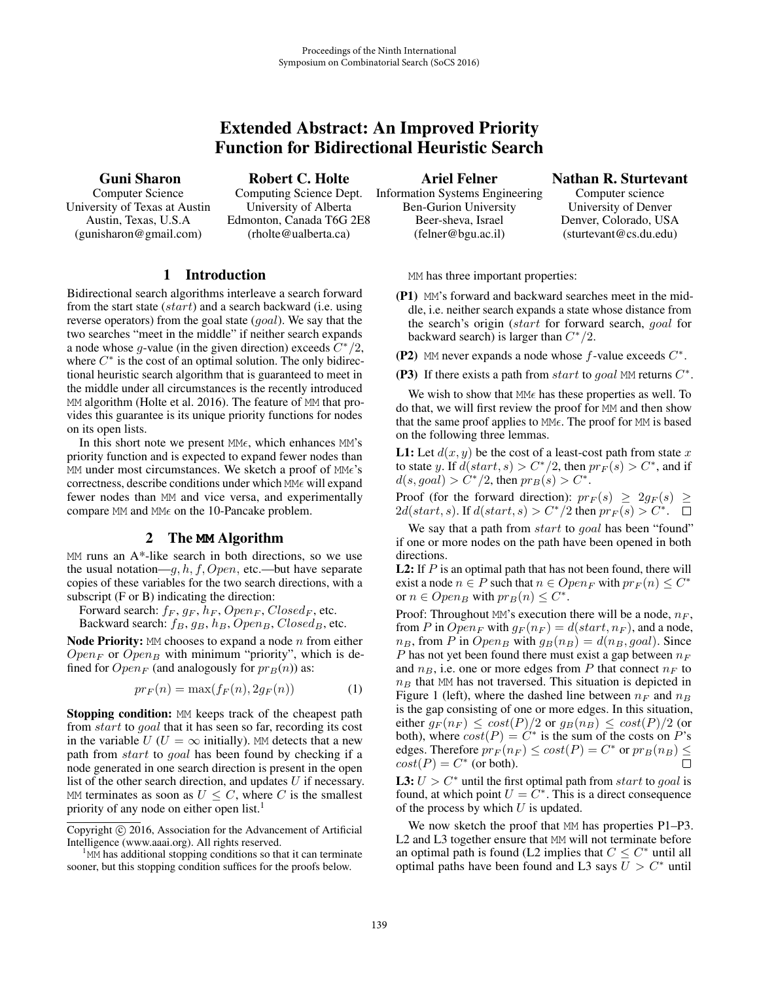# Extended Abstract: An Improved Priority Function for Bidirectional Heuristic Search

Guni Sharon

Computer Science University of Texas at Austin Austin, Texas, U.S.A (gunisharon@gmail.com)

# Robert C. Holte

Computing Science Dept. University of Alberta Edmonton, Canada T6G 2E8 (rholte@ualberta.ca)

# 1 Introduction

Bidirectional search algorithms interleave a search forward from the start state (start) and a search backward (i.e. using reverse operators) from the goal state (*goal*). We say that the two searches "meet in the middle" if neither search expands a node whose g-value (in the given direction) exceeds  $C^*/2$ , where  $C^*$  is the cost of an optimal solution. The only bidirectional heuristic search algorithm that is guaranteed to meet in the middle under all circumstances is the recently introduced MM algorithm (Holte et al. 2016). The feature of MM that provides this guarantee is its unique priority functions for nodes on its open lists.

In this short note we present  $MM\epsilon$ , which enhances MM's priority function and is expected to expand fewer nodes than MM under most circumstances. We sketch a proof of MMe's correctness, describe conditions under which  $M\epsilon$  will expand fewer nodes than MM and vice versa, and experimentally compare  $MM$  and  $MM \epsilon$  on the 10-Pancake problem.

### 2 The **MM** Algorithm

MM runs an A\*-like search in both directions, so we use the usual notation—g,  $h, f, Open$ , etc.—but have separate copies of these variables for the two search directions, with a subscript (F or B) indicating the direction:

Forward search:  $f_F$ ,  $g_F$ ,  $h_F$ ,  $Open_F$ ,  $Closed_F$ , etc. Backward search:  $f_B$ ,  $g_B$ ,  $h_B$ ,  $Open_B$ ,  $Closed_B$ , etc.

Node Priority:  $MM$  chooses to expand a node  $n$  from either  $Open_F$  or  $Open_B$  with minimum "priority", which is defined for  $Open_F$  (and analogously for  $pr_B(n)$ ) as:

$$
pr_F(n) = \max(f_F(n), 2g_F(n))
$$
 (1)

Stopping condition: MM keeps track of the cheapest path from start to goal that it has seen so far, recording its cost in the variable  $U$  ( $U = \infty$  initially). MM detects that a new path from start to goal has been found by checking if a node generated in one search direction is present in the open list of the other search direction, and updates  $U$  if necessary. MM terminates as soon as  $U \leq C$ , where C is the smallest priority of any node on either open list.<sup>1</sup>

Ariel Felner

Information Systems Engineering Ben-Gurion University Beer-sheva, Israel (felner@bgu.ac.il)

#### Nathan R. Sturtevant

Computer science University of Denver Denver, Colorado, USA (sturtevant@cs.du.edu)

MM has three important properties:

- (P1) MM's forward and backward searches meet in the middle, i.e. neither search expands a state whose distance from the search's origin (start for forward search, goal for backward search) is larger than  $C^*/2$ .
- (P2) MM never expands a node whose  $f$ -value exceeds  $C^*$ .

(P3) If there exists a path from start to goal MM returns  $C^*$ .

We wish to show that  $MM \epsilon$  has these properties as well. To do that, we will first review the proof for MM and then show that the same proof applies to MME. The proof for MM is based on the following three lemmas.

L1: Let  $d(x, y)$  be the cost of a least-cost path from state x to state y. If  $d(start, s) > C^*/2$ , then  $pr_F(s) > C^*$ , and if  $d(s, goal) > C^*/2$ , then  $pr_B(s) > C^*$ .

Proof (for the forward direction):  $pr_F(s) \geq 2g_F(s) \geq$  $2d(start, s)$ . If  $d(start, s) > C^*/2$  then  $pr_F(s) > C^*$ .  $\Box$ 

We say that a path from *start* to *goal* has been "found" if one or more nodes on the path have been opened in both directions.

**L2:** If  $P$  is an optimal path that has not been found, there will exist a node  $n \in P$  such that  $n \in Open_F$  with  $pr_F(n) \leq C^*$ or  $n \in Open_B$  with  $pr_B(n) \leq C^*$ .

Proof: Throughout MM's execution there will be a node,  $n_F$ , from P in  $Open_F$  with  $g_F(n_F) = d(start, n_F)$ , and a node,  $n_B$ , from P in Open<sub>B</sub> with  $g_B(n_B) = d(n_B, goal)$ . Since P has not yet been found there must exist a gap between  $n_F$ and  $n_B$ , i.e. one or more edges from P that connect  $n_F$  to  $n_B$  that MM has not traversed. This situation is depicted in Figure 1 (left), where the dashed line between  $n_F$  and  $n_B$ is the gap consisting of one or more edges. In this situation, either  $g_F(n_F) \leq \cos\left(\frac{P}{2}\right)$  or  $g_B(n_B) \leq \cos\left(\frac{P}{2}\right)$  (or both), where  $cost(P) = C^*$  is the sum of the costs on P's edges. Therefore  $pr_F(n_F) \leq cost(P) = C^*$  or  $pr_B(n_B) \leq cost(P) = C^*$  (or both).  $cost(P) = C^*$  (or both).

L3:  $U > C^*$  until the first optimal path from start to goal is found, at which point  $U = C^*$ . This is a direct consequence of the process by which  $U$  is updated.

We now sketch the proof that MM has properties P1–P3. L2 and L3 together ensure that MM will not terminate before an optimal path is found (L2 implies that  $C \leq C^*$  until all optimal paths have been found and L3 says  $U > C^*$  until

Copyright  $\odot$  2016, Association for the Advancement of Artificial Intelligence (www.aaai.org). All rights reserved. <sup>1</sup>

 $^{1}$ MM has additional stopping conditions so that it can terminate sooner, but this stopping condition suffices for the proofs below.